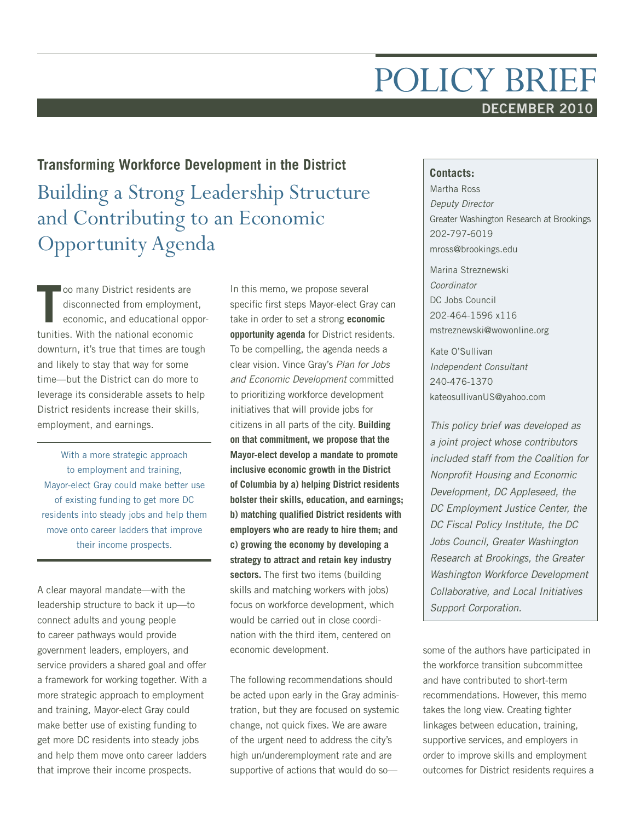# POLICY BRIEF **DECEMBER 2010**

## **Transforming Workforce Development in the District**

Building a Strong Leadership Structure and Contributing to an Economic Opportunity Agenda

**T** oo many District residents are disconnected from employment, economic, and educational opportunities. With the national economic downturn, it's true that times are tough and likely to stay that way for some time—but the District can do more to leverage its considerable assets to help District residents increase their skills, employment, and earnings.

With a more strategic approach to employment and training, Mayor-elect Gray could make better use of existing funding to get more DC residents into steady jobs and help them move onto career ladders that improve their income prospects.

A clear mayoral mandate—with the leadership structure to back it up—to connect adults and young people to career pathways would provide government leaders, employers, and service providers a shared goal and offer a framework for working together. With a more strategic approach to employment and training, Mayor-elect Gray could make better use of existing funding to get more DC residents into steady jobs and help them move onto career ladders that improve their income prospects.

In this memo, we propose several specific first steps Mayor-elect Gray can take in order to set a strong **economic opportunity agenda** for District residents. To be compelling, the agenda needs a clear vision. Vince Gray's *Plan for Jobs and Economic Development* committed to prioritizing workforce development initiatives that will provide jobs for citizens in all parts of the city. **Building on that commitment, we propose that the Mayor-elect develop a mandate to promote inclusive economic growth in the District of Columbia by a) helping District residents bolster their skills, education, and earnings; b) matching qualified District residents with employers who are ready to hire them; and c) growing the economy by developing a strategy to attract and retain key industry sectors.** The first two items (building skills and matching workers with jobs) focus on workforce development, which would be carried out in close coordination with the third item, centered on economic development.

The following recommendations should be acted upon early in the Gray administration, but they are focused on systemic change, not quick fixes. We are aware of the urgent need to address the city's high un/underemployment rate and are supportive of actions that would do so—

#### **Contacts:**

Martha Ross *Deputy Director* Greater Washington Research at Brookings 202-797-6019 mross@brookings.edu

Marina Streznewski *Coordinator* DC Jobs Council 202-464-1596 x116 mstreznewski@wowonline.org

Kate O'Sullivan *Independent Consultant* 240-476-1370 kateosullivanUS@yahoo.com

*This policy brief was developed as a joint project whose contributors included staff from the Coalition for Nonprofit Housing and Economic Development, DC Appleseed, the DC Employment Justice Center, the DC Fiscal Policy Institute, the DC Jobs Council, Greater Washington Research at Brookings, the Greater Washington Workforce Development Collaborative, and Local Initiatives Support Corporation.*

some of the authors have participated in the workforce transition subcommittee and have contributed to short-term recommendations. However, this memo takes the long view. Creating tighter linkages between education, training, supportive services, and employers in order to improve skills and employment outcomes for District residents requires a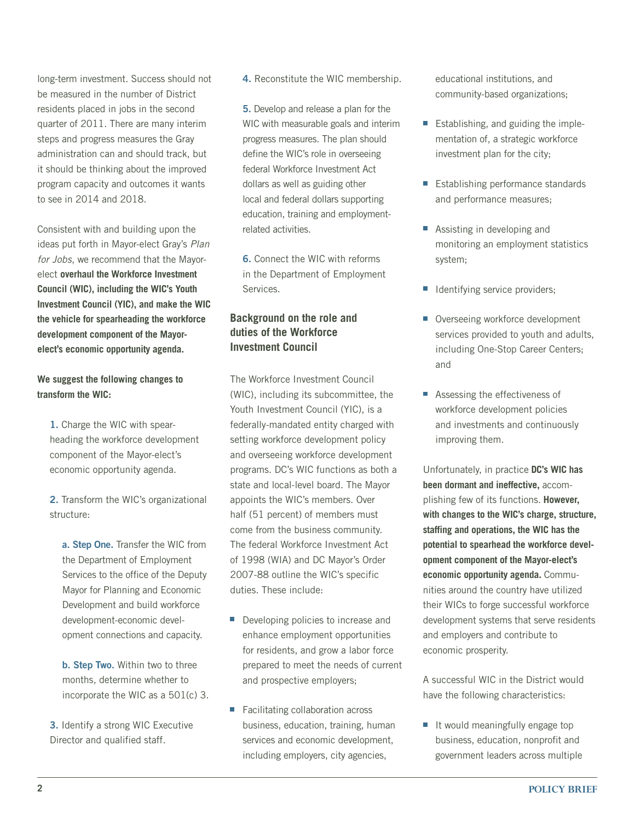long-term investment. Success should not be measured in the number of District residents placed in jobs in the second quarter of 2011. There are many interim steps and progress measures the Gray administration can and should track, but it should be thinking about the improved program capacity and outcomes it wants to see in 2014 and 2018.

Consistent with and building upon the ideas put forth in Mayor-elect Gray's *Plan for Jobs*, we recommend that the Mayorelect **overhaul the Workforce Investment Council (WIC), including the WIC's Youth Investment Council (YIC), and make the WIC the vehicle for spearheading the workforce development component of the Mayorelect's economic opportunity agenda.** 

#### **We suggest the following changes to transform the WIC:**

**1.** Charge the WIC with spearheading the workforce development component of the Mayor-elect's economic opportunity agenda.

**2.** Transform the WIC's organizational structure:

**a. Step One.** Transfer the WIC from the Department of Employment Services to the office of the Deputy Mayor for Planning and Economic Development and build workforce development-economic development connections and capacity.

**b. Step Two.** Within two to three months, determine whether to incorporate the WIC as a 501(c) 3.

**3.** Identify a strong WIC Executive Director and qualified staff.

**4.** Reconstitute the WIC membership.

**5.** Develop and release a plan for the WIC with measurable goals and interim progress measures. The plan should define the WIC's role in overseeing federal Workforce Investment Act dollars as well as guiding other local and federal dollars supporting education, training and employmentrelated activities.

**6.** Connect the WIC with reforms in the Department of Employment Services.

## **Background on the role and duties of the Workforce Investment Council**

The Workforce Investment Council (WIC), including its subcommittee, the Youth Investment Council (YIC), is a federally-mandated entity charged with setting workforce development policy and overseeing workforce development programs. DC's WIC functions as both a state and local-level board. The Mayor appoints the WIC's members. Over half (51 percent) of members must come from the business community. The federal Workforce Investment Act of 1998 (WIA) and DC Mayor's Order 2007-88 outline the WIC's specific duties. These include:

- Developing policies to increase and enhance employment opportunities for residents, and grow a labor force prepared to meet the needs of current and prospective employers;
- Facilitating collaboration across business, education, training, human services and economic development, including employers, city agencies,

educational institutions, and community-based organizations;

- Establishing, and guiding the implementation of, a strategic workforce investment plan for the city;
- Establishing performance standards and performance measures;
- Assisting in developing and monitoring an employment statistics system;
- **I** Identifying service providers;
- Overseeing workforce development services provided to youth and adults, including One-Stop Career Centers; and
- Assessing the effectiveness of workforce development policies and investments and continuously improving them.

Unfortunately, in practice **DC's WIC has been dormant and ineffective,** accomplishing few of its functions. **However, with changes to the WIC's charge, structure, staffing and operations, the WIC has the potential to spearhead the workforce development component of the Mayor-elect's economic opportunity agenda.** Communities around the country have utilized their WICs to forge successful workforce development systems that serve residents and employers and contribute to economic prosperity.

A successful WIC in the District would have the following characteristics:

**I** It would meaningfully engage top business, education, nonprofit and government leaders across multiple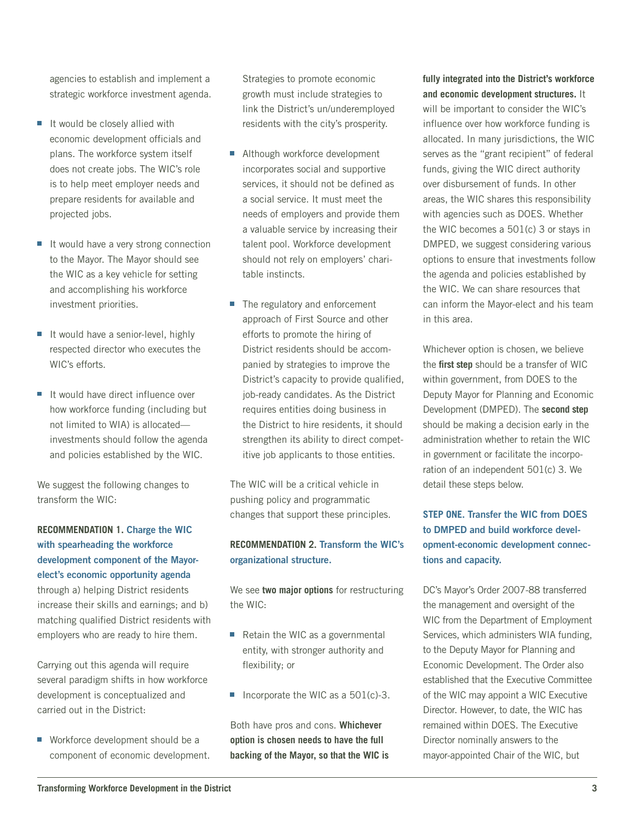agencies to establish and implement a strategic workforce investment agenda.

- It would be closely allied with economic development officials and plans. The workforce system itself does not create jobs. The WIC's role is to help meet employer needs and prepare residents for available and projected jobs.
- It would have a very strong connection to the Mayor. The Mayor should see the WIC as a key vehicle for setting and accomplishing his workforce investment priorities.
- It would have a senior-level, highly respected director who executes the WIC's efforts.
- It would have direct influence over how workforce funding (including but not limited to WIA) is allocated investments should follow the agenda and policies established by the WIC.

We suggest the following changes to transform the WIC:

## **Recommendation 1. Charge the WIC with spearheading the workforce development component of the Mayorelect's economic opportunity agenda** through a) helping District residents increase their skills and earnings; and b) matching qualified District residents with employers who are ready to hire them.

Carrying out this agenda will require several paradigm shifts in how workforce development is conceptualized and carried out in the District:

■ Workforce development should be a component of economic development. Strategies to promote economic growth must include strategies to link the District's un/underemployed residents with the city's prosperity.

- **Although workforce development** incorporates social and supportive services, it should not be defined as a social service. It must meet the needs of employers and provide them a valuable service by increasing their talent pool. Workforce development should not rely on employers' charitable instincts.
- The regulatory and enforcement approach of First Source and other efforts to promote the hiring of District residents should be accompanied by strategies to improve the District's capacity to provide qualified, job-ready candidates. As the District requires entities doing business in the District to hire residents, it should strengthen its ability to direct competitive job applicants to those entities.

The WIC will be a critical vehicle in pushing policy and programmatic changes that support these principles.

#### **Recommendation 2. Transform the WIC's organizational structure.**

We see **two major options** for restructuring the WIC:

- Retain the WIC as a governmental entity, with stronger authority and flexibility; or
- Incorporate the WIC as a 501(c)-3.

Both have pros and cons. **Whichever option is chosen needs to have the full backing of the Mayor, so that the WIC is** 

#### **fully integrated into the District's workforce and economic development structures.** It

will be important to consider the WIC's influence over how workforce funding is allocated. In many jurisdictions, the WIC serves as the "grant recipient" of federal funds, giving the WIC direct authority over disbursement of funds. In other areas, the WIC shares this responsibility with agencies such as DOES. Whether the WIC becomes a 501(c) 3 or stays in DMPED, we suggest considering various options to ensure that investments follow the agenda and policies established by the WIC. We can share resources that can inform the Mayor-elect and his team in this area.

Whichever option is chosen, we believe the **first step** should be a transfer of WIC within government, from DOES to the Deputy Mayor for Planning and Economic Development (DMPED). The **second step** should be making a decision early in the administration whether to retain the WIC in government or facilitate the incorporation of an independent 501(c) 3. We detail these steps below.

## **Step One. Transfer the WIC from DOES to DMPED and build workforce development-economic development connections and capacity.**

DC's Mayor's Order 2007-88 transferred the management and oversight of the WIC from the Department of Employment Services, which administers WIA funding, to the Deputy Mayor for Planning and Economic Development. The Order also established that the Executive Committee of the WIC may appoint a WIC Executive Director. However, to date, the WIC has remained within DOES. The Executive Director nominally answers to the mayor-appointed Chair of the WIC, but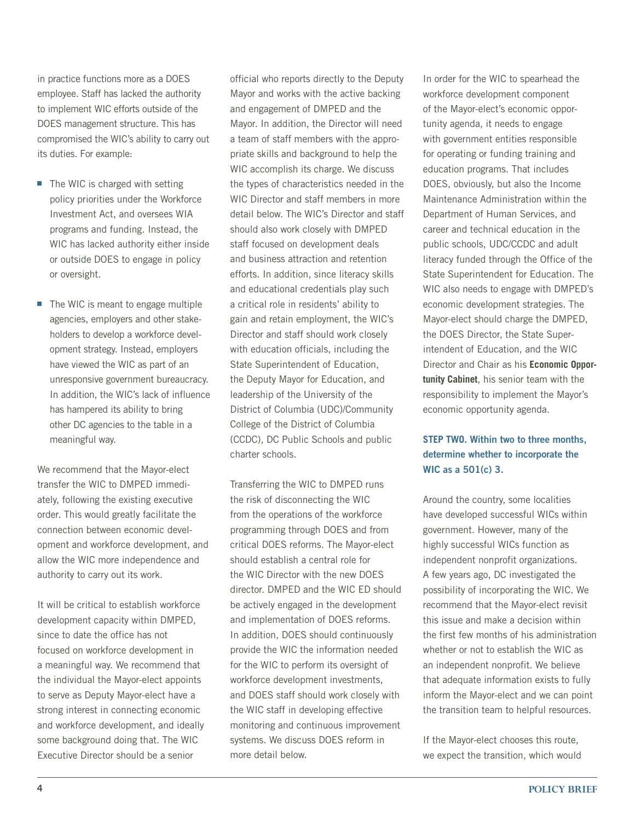in practice functions more as a DOES employee. Staff has lacked the authority to implement WIC efforts outside of the DOES management structure. This has compromised the WIC's ability to carry out its duties. For example:

- The WIC is charged with setting policy priorities under the Workforce Investment Act, and oversees WIA programs and funding. Instead, the WIC has lacked authority either inside or outside DOES to engage in policy or oversight.
- The WIC is meant to engage multiple agencies, employers and other stakeholders to develop a workforce development strategy. Instead, employers have viewed the WIC as part of an unresponsive government bureaucracy. In addition, the WIC's lack of influence has hampered its ability to bring other DC agencies to the table in a meaningful way.

We recommend that the Mayor-elect transfer the WIC to DMPED immediately, following the existing executive order. This would greatly facilitate the connection between economic development and workforce development, and allow the WIC more independence and authority to carry out its work.

It will be critical to establish workforce development capacity within DMPED, since to date the office has not focused on workforce development in a meaningful way. We recommend that the individual the Mayor-elect appoints to serve as Deputy Mayor-elect have a strong interest in connecting economic and workforce development, and ideally some background doing that. The WIC Executive Director should be a senior

official who reports directly to the Deputy Mayor and works with the active backing and engagement of DMPED and the Mayor. In addition, the Director will need a team of staff members with the appropriate skills and background to help the WIC accomplish its charge. We discuss the types of characteristics needed in the WIC Director and staff members in more detail below. The WIC's Director and staff should also work closely with DMPED staff focused on development deals and business attraction and retention efforts. In addition, since literacy skills and educational credentials play such a critical role in residents' ability to gain and retain employment, the WIC's Director and staff should work closely with education officials, including the State Superintendent of Education, the Deputy Mayor for Education, and leadership of the University of the District of Columbia (UDC)/Community College of the District of Columbia (CCDC), DC Public Schools and public charter schools.

Transferring the WIC to DMPED runs the risk of disconnecting the WIC from the operations of the workforce programming through DOES and from critical DOES reforms. The Mayor-elect should establish a central role for the WIC Director with the new DOES director. DMPED and the WIC ED should be actively engaged in the development and implementation of DOES reforms. In addition, DOES should continuously provide the WIC the information needed for the WIC to perform its oversight of workforce development investments, and DOES staff should work closely with the WIC staff in developing effective monitoring and continuous improvement systems. We discuss DOES reform in more detail below.

In order for the WIC to spearhead the workforce development component of the Mayor-elect's economic opportunity agenda, it needs to engage with government entities responsible for operating or funding training and education programs. That includes DOES, obviously, but also the Income Maintenance Administration within the Department of Human Services, and career and technical education in the public schools, UDC/CCDC and adult literacy funded through the Office of the State Superintendent for Education. The WIC also needs to engage with DMPED's economic development strategies. The Mayor-elect should charge the DMPED, the DOES Director, the State Superintendent of Education, and the WIC Director and Chair as his **Economic Opportunity Cabinet**, his senior team with the responsibility to implement the Mayor's economic opportunity agenda.

## **Step Two. Within two to three months, determine whether to incorporate the WIC as a 501(c) 3.**

Around the country, some localities have developed successful WICs within government. However, many of the highly successful WICs function as independent nonprofit organizations. A few years ago, DC investigated the possibility of incorporating the WIC. We recommend that the Mayor-elect revisit this issue and make a decision within the first few months of his administration whether or not to establish the WIC as an independent nonprofit. We believe that adequate information exists to fully inform the Mayor-elect and we can point the transition team to helpful resources.

If the Mayor-elect chooses this route, we expect the transition, which would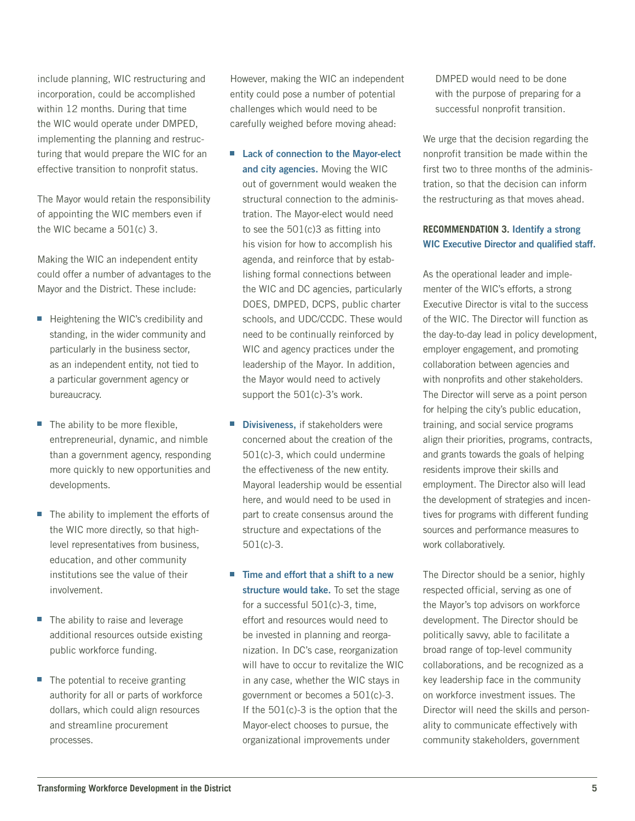include planning, WIC restructuring and incorporation, could be accomplished within 12 months. During that time the WIC would operate under DMPED, implementing the planning and restructuring that would prepare the WIC for an effective transition to nonprofit status.

The Mayor would retain the responsibility of appointing the WIC members even if the WIC became a 501(c) 3.

Making the WIC an independent entity could offer a number of advantages to the Mayor and the District. These include:

- Heightening the WIC's credibility and standing, in the wider community and particularly in the business sector, as an independent entity, not tied to a particular government agency or bureaucracy.
- The ability to be more flexible, entrepreneurial, dynamic, and nimble than a government agency, responding more quickly to new opportunities and developments.
- The ability to implement the efforts of the WIC more directly, so that highlevel representatives from business, education, and other community institutions see the value of their involvement.
- The ability to raise and leverage additional resources outside existing public workforce funding.
- The potential to receive granting authority for all or parts of workforce dollars, which could align resources and streamline procurement processes.

However, making the WIC an independent entity could pose a number of potential challenges which would need to be carefully weighed before moving ahead:

- Lack of connection to the Mayor-elect **and city agencies.** Moving the WIC out of government would weaken the structural connection to the administration. The Mayor-elect would need to see the 501(c)3 as fitting into his vision for how to accomplish his agenda, and reinforce that by establishing formal connections between the WIC and DC agencies, particularly DOES, DMPED, DCPS, public charter schools, and UDC/CCDC. These would need to be continually reinforced by WIC and agency practices under the leadership of the Mayor. In addition, the Mayor would need to actively support the 501(c)-3's work.
- **Divisiveness, if stakeholders were** concerned about the creation of the 501(c)-3, which could undermine the effectiveness of the new entity. Mayoral leadership would be essential here, and would need to be used in part to create consensus around the structure and expectations of the 501(c)-3.
- Time and effort that a shift to a new **structure would take.** To set the stage for a successful 501(c)-3, time, effort and resources would need to be invested in planning and reorganization. In DC's case, reorganization will have to occur to revitalize the WIC in any case, whether the WIC stays in government or becomes a 501(c)-3. If the 501(c)-3 is the option that the Mayor-elect chooses to pursue, the organizational improvements under

DMPED would need to be done with the purpose of preparing for a successful nonprofit transition.

We urge that the decision regarding the nonprofit transition be made within the first two to three months of the administration, so that the decision can inform the restructuring as that moves ahead.

## **Recommendation 3. Identify a strong WIC Executive Director and qualified staff.**

As the operational leader and implementer of the WIC's efforts, a strong Executive Director is vital to the success of the WIC. The Director will function as the day-to-day lead in policy development, employer engagement, and promoting collaboration between agencies and with nonprofits and other stakeholders. The Director will serve as a point person for helping the city's public education, training, and social service programs align their priorities, programs, contracts, and grants towards the goals of helping residents improve their skills and employment. The Director also will lead the development of strategies and incentives for programs with different funding sources and performance measures to work collaboratively.

The Director should be a senior, highly respected official, serving as one of the Mayor's top advisors on workforce development. The Director should be politically savvy, able to facilitate a broad range of top-level community collaborations, and be recognized as a key leadership face in the community on workforce investment issues. The Director will need the skills and personality to communicate effectively with community stakeholders, government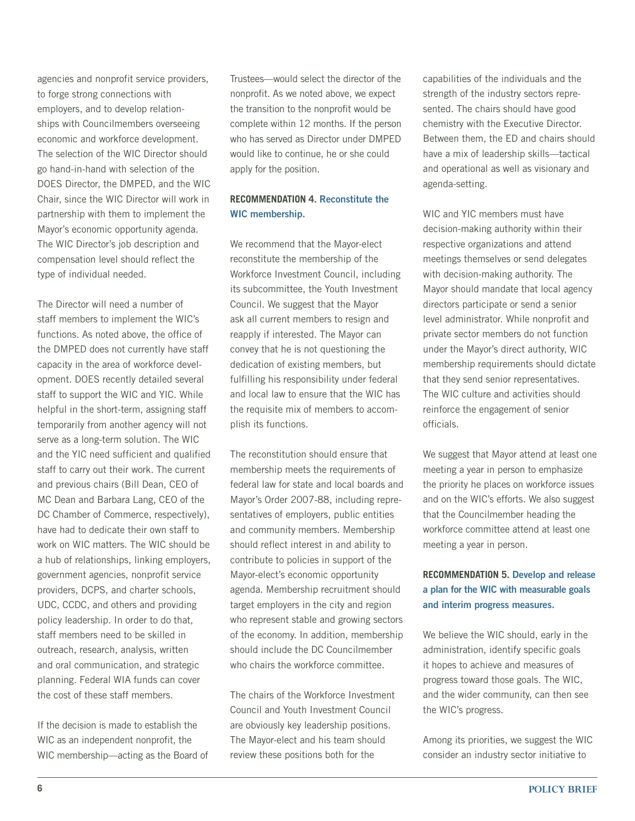agencies and nonprofit service providers, to forge strong connections with employers, and to develop relationships with Councilmembers overseeing economic and workforce development. The selection of the WIC Director should go hand-in-hand with selection of the DOES Director, the DMPED, and the WIC Chair, since the WIC Director will work in partnership with them to implement the Mayor's economic opportunity agenda. The WIC Director's job description and compensation level should reflect the type of individual needed.

The Director will need a number of staff members to implement the WIC's functions. As noted above, the office of the DMPED does not currently have staff capacity in the area of workforce development. DOES recently detailed several staff to support the WIC and YIC. While helpful in the short-term, assigning staff temporarily from another agency will not serve as a long-term solution. The WIC and the YIC need sufficient and qualified staff to carry out their work. The current and previous chairs (Bill Dean, CEO of MC Dean and Barbara Lang, CEO of the DC Chamber of Commerce, respectively), have had to dedicate their own staff to work on WIC matters. The WIC should be a hub of relationships, linking employers, government agencies, nonprofit service providers, DCPS, and charter schools, UDC, CCDC, and others and providing policy leadership. In order to do that, staff members need to be skilled in outreach, research, analysis, written and oral communication, and strategic planning. Federal WIA funds can cover the cost of these staff members.

If the decision is made to establish the WIC as an independent nonprofit, the WIC membership—acting as the Board of Trustees—would select the director of the nonprofit. As we noted above, we expect the transition to the nonprofit would be complete within 12 months. If the person who has served as Director under DMPED would like to continue, he or she could apply for the position.

## **Recommendation 4. Reconstitute the WIC membership.**

We recommend that the Mayor-elect reconstitute the membership of the Workforce Investment Council, including its subcommittee, the Youth Investment Council. We suggest that the Mayor ask all current members to resign and reapply if interested. The Mayor can convey that he is not questioning the dedication of existing members, but fulfilling his responsibility under federal and local law to ensure that the WIC has the requisite mix of members to accomplish its functions.

The reconstitution should ensure that membership meets the requirements of federal law for state and local boards and Mayor's Order 2007-88, including representatives of employers, public entities and community members. Membership should reflect interest in and ability to contribute to policies in support of the Mayor-elect's economic opportunity agenda. Membership recruitment should target employers in the city and region who represent stable and growing sectors of the economy. In addition, membership should include the DC Councilmember who chairs the workforce committee.

The chairs of the Workforce Investment Council and Youth Investment Council are obviously key leadership positions. The Mayor-elect and his team should review these positions both for the

capabilities of the individuals and the strength of the industry sectors represented. The chairs should have good chemistry with the Executive Director. Between them, the ED and chairs should have a mix of leadership skills—tactical and operational as well as visionary and agenda-setting.

WIC and YIC members must have decision-making authority within their respective organizations and attend meetings themselves or send delegates with decision-making authority. The Mayor should mandate that local agency directors participate or send a senior level administrator. While nonprofit and private sector members do not function under the Mayor's direct authority, WIC membership requirements should dictate that they send senior representatives. The WIC culture and activities should reinforce the engagement of senior officials.

We suggest that Mayor attend at least one meeting a year in person to emphasize the priority he places on workforce issues and on the WIC's efforts. We also suggest that the Councilmember heading the workforce committee attend at least one meeting a year in person.

## **Recommendation 5. Develop and release a plan for the WIC with measurable goals and interim progress measures.**

We believe the WIC should, early in the administration, identify specific goals it hopes to achieve and measures of progress toward those goals. The WIC, and the wider community, can then see the WIC's progress.

Among its priorities, we suggest the WIC consider an industry sector initiative to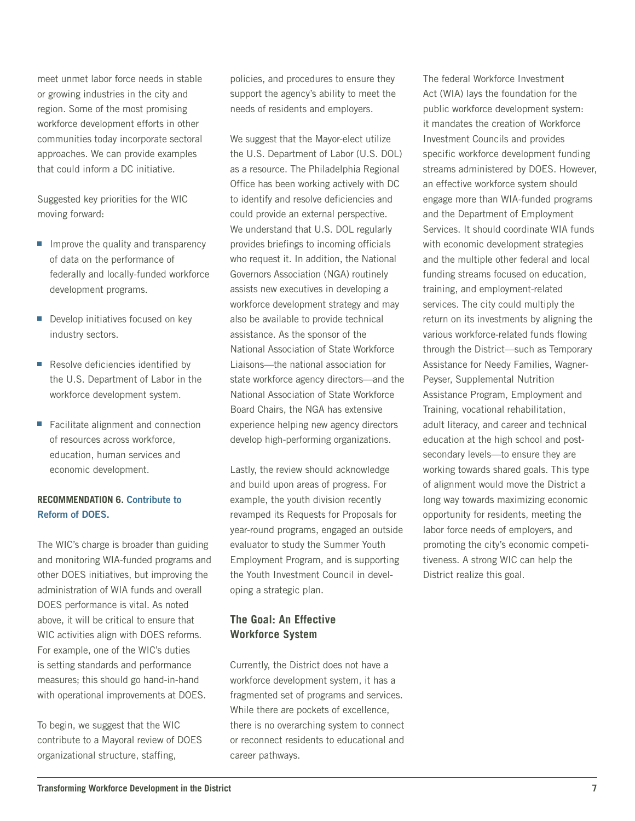meet unmet labor force needs in stable or growing industries in the city and region. Some of the most promising workforce development efforts in other communities today incorporate sectoral approaches. We can provide examples that could inform a DC initiative.

Suggested key priorities for the WIC moving forward:

- $\blacksquare$  Improve the quality and transparency of data on the performance of federally and locally-funded workforce development programs.
- **•** Develop initiatives focused on key industry sectors.
- Resolve deficiencies identified by the U.S. Department of Labor in the workforce development system.
- Facilitate alignment and connection of resources across workforce, education, human services and economic development.

#### **Recommendation 6. Contribute to Reform of DOES.**

The WIC's charge is broader than guiding and monitoring WIA-funded programs and other DOES initiatives, but improving the administration of WIA funds and overall DOES performance is vital. As noted above, it will be critical to ensure that WIC activities align with DOES reforms. For example, one of the WIC's duties is setting standards and performance measures; this should go hand-in-hand with operational improvements at DOES.

To begin, we suggest that the WIC contribute to a Mayoral review of DOES organizational structure, staffing,

policies, and procedures to ensure they support the agency's ability to meet the needs of residents and employers.

We suggest that the Mayor-elect utilize the U.S. Department of Labor (U.S. DOL) as a resource. The Philadelphia Regional Office has been working actively with DC to identify and resolve deficiencies and could provide an external perspective. We understand that U.S. DOL regularly provides briefings to incoming officials who request it. In addition, the National Governors Association (NGA) routinely assists new executives in developing a workforce development strategy and may also be available to provide technical assistance. As the sponsor of the National Association of State Workforce Liaisons—the national association for state workforce agency directors—and the National Association of State Workforce Board Chairs, the NGA has extensive experience helping new agency directors develop high-performing organizations.

Lastly, the review should acknowledge and build upon areas of progress. For example, the youth division recently revamped its Requests for Proposals for year-round programs, engaged an outside evaluator to study the Summer Youth Employment Program, and is supporting the Youth Investment Council in developing a strategic plan.

## **The Goal: An Effective Workforce System**

Currently, the District does not have a workforce development system, it has a fragmented set of programs and services. While there are pockets of excellence, there is no overarching system to connect or reconnect residents to educational and career pathways.

The federal Workforce Investment Act (WIA) lays the foundation for the public workforce development system: it mandates the creation of Workforce Investment Councils and provides specific workforce development funding streams administered by DOES. However, an effective workforce system should engage more than WIA-funded programs and the Department of Employment Services. It should coordinate WIA funds with economic development strategies and the multiple other federal and local funding streams focused on education, training, and employment-related services. The city could multiply the return on its investments by aligning the various workforce-related funds flowing through the District—such as Temporary Assistance for Needy Families, Wagner-Peyser, Supplemental Nutrition Assistance Program, Employment and Training, vocational rehabilitation, adult literacy, and career and technical education at the high school and postsecondary levels—to ensure they are working towards shared goals. This type of alignment would move the District a long way towards maximizing economic opportunity for residents, meeting the labor force needs of employers, and promoting the city's economic competitiveness. A strong WIC can help the District realize this goal.